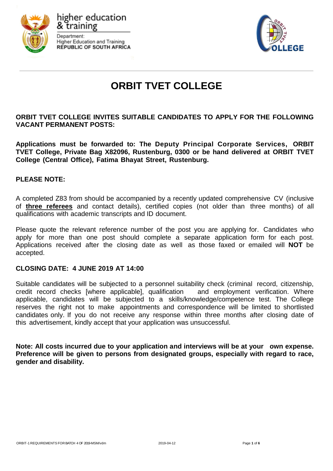

higher education Department: **Higher Education and Training REPUBLIC OF SOUTH AFRICA** 



# **ORBIT TVET COLLEGE**

### **ORBIT TVET COLLEGE INVITES SUITABLE CANDIDATES TO APPLY FOR THE FOLLOWING VACANT PERMANENT POSTS:**

**Applications must be forwarded to: The Deputy Principal Corporate Services, ORBIT TVET College, Private Bag X82096, Rustenburg, 0300 or be hand delivered at ORBIT TVET College (Central Office), Fatima Bhayat Street, Rustenburg.**

### **PLEASE NOTE:**

A completed Z83 from should be accompanied by a recently updated comprehensive CV (inclusive of **three referees** and contact details), certified copies (not older than three months) of all qualifications with academic transcripts and ID document.

Please quote the relevant reference number of the post you are applying for. Candidates who apply for more than one post should complete a separate application form for each post. Applications received after the closing date as well as those faxed or emailed will **NOT** be accepted.

#### **CLOSING DATE: 4 JUNE 2019 AT 14:00**

Suitable candidates will be subjected to a personnel suitability check (criminal record, citizenship, credit record checks [where applicable], qualification and employment verification. Where applicable, candidates will be subjected to a skills/knowledge/competence test. The College reserves the right not to make appointments and correspondence will be limited to shortlisted candidates only. If you do not receive any response within three months after closing date of this advertisement, kindly accept that your application was unsuccessful.

**Note: All costs incurred due to your application and interviews will be at your own expense. Preference will be given to persons from designated groups, especially with regard to race, gender and disability.**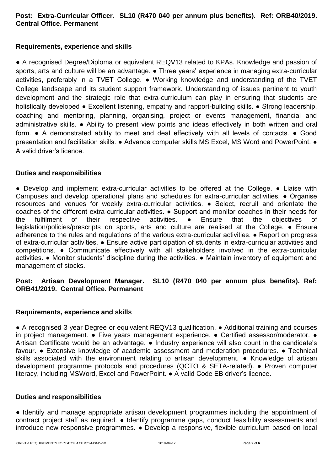## **Post: Extra-Curricular Officer. SL10 (R470 040 per annum plus benefits). Ref: ORB40/2019. Central Office. Permanent**

## **Requirements, experience and skills**

• A recognised Degree/Diploma or equivalent REQV13 related to KPAs. Knowledge and passion of sports, arts and culture will be an advantage. • Three years' experience in managing extra-curricular activities, preferably in a TVET College. ● Working knowledge and understanding of the TVET College landscape and its student support framework. Understanding of issues pertinent to youth development and the strategic role that extra-curriculum can play in ensuring that students are holistically developed ● Excellent listening, empathy and rapport-building skills. ● Strong leadership, coaching and mentoring, planning, organising, project or events management, financial and administrative skills. ● Ability to present view points and ideas effectively in both written and oral form. ● A demonstrated ability to meet and deal effectively with all levels of contacts. ● Good presentation and facilitation skills. ● Advance computer skills MS Excel, MS Word and PowerPoint. ● A valid driver's licence.

### **Duties and responsibilities**

● Develop and implement extra-curricular activities to be offered at the College. ● Liaise with Campuses and develop operational plans and schedules for extra-curricular activities. ● Organise resources and venues for weekly extra-curricular activities. ● Select, recruit and orientate the coaches of the different extra-curricular activities. ● Support and monitor coaches in their needs for the fulfilment of their respective activities. ● Ensure that the objectives of legislation/policies/prescripts on sports, arts and culture are realised at the College. ● Ensure adherence to the rules and regulations of the various extra-curricular activities. ● Report on progress of extra-curricular activities. ● Ensure active participation of students in extra-curricular activities and competitions. ● Communicate effectively with all stakeholders involved in the extra-curricular activities. ● Monitor students' discipline during the activities. ● Maintain inventory of equipment and management of stocks.

## **Post: Artisan Development Manager. SL10 (R470 040 per annum plus benefits). Ref: ORB41/2019. Central Office. Permanent**

### **Requirements, experience and skills**

● A recognised 3 year Degree or equivalent REQV13 qualification. ● Additional training and courses in project management. • Five years management experience. • Certified assessor/moderator. • Artisan Certificate would be an advantage. ● Industry experience will also count in the candidate's favour. ● Extensive knowledge of academic assessment and moderation procedures. ● Technical skills associated with the environment relating to artisan development. • Knowledge of artisan development programme protocols and procedures (QCTO & SETA-related). ● Proven computer literacy, including MSWord, Excel and PowerPoint. ● A valid Code EB driver's licence.

### **Duties and responsibilities**

● Identify and manage appropriate artisan development programmes including the appointment of contract project staff as required. ● Identify programme gaps, conduct feasibility assessments and introduce new responsive programmes. ● Develop a responsive, flexible curriculum based on local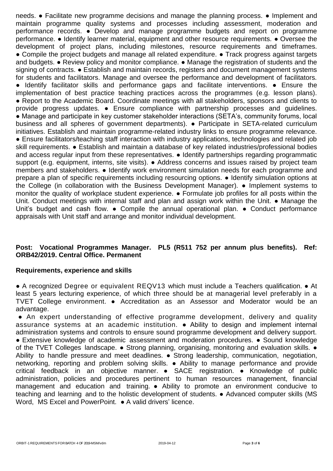needs. ● Facilitate new programme decisions and manage the planning process. ● Implement and maintain programme quality systems and processes including assessment, moderation and performance records. ● Develop and manage programme budgets and report on programme performance. ● Identify learner material, equipment and other resource requirements. ● Oversee the development of project plans, including milestones, resource requirements and timeframes. ● Compile the project budgets and manage all related expenditure. ● Track progress against targets and budgets. ● Review policy and monitor compliance. ● Manage the registration of students and the signing of contracts. • Establish and maintain records, registers and document management systems for students and facilitators. Manage and oversee the performance and development of facilitators. ● Identify facilitator skills and performance gaps and facilitate interventions. ● Ensure the implementation of best practice teaching practices across the programmes (e.g. lesson plans). ● Report to the Academic Board. Coordinate meetings with all stakeholders, sponsors and clients to provide progress updates. ● Ensure compliance with partnership processes and guidelines. ● Manage and participate in key customer stakeholder interactions (SETA's, community forums, local business and all spheres of government departments). ● Participate in SETA-related curriculum initiatives. Establish and maintain programme-related industry links to ensure programme relevance. ● Ensure facilitators/teaching staff interaction with industry applications, technologies and related job skill requirements. ● Establish and maintain a database of key related industries/professional bodies and access regular input from these representatives. • Identify partnerships regarding programmatic support (e.g. equipment, interns, site visits). • Address concerns and issues raised by project team members and stakeholders. ● Identify work environment simulation needs for each programme and prepare a plan of specific requirements including resourcing options. ● Identify simulation options at the College (in collaboration with the Business Development Manager). ● Implement systems to monitor the quality of workplace student experience. ● Formulate job profiles for all posts within the Unit. Conduct meetings with internal staff and plan and assign work within the Unit. • Manage the Unit's budget and cash flow.  $\bullet$  Compile the annual operational plan.  $\bullet$  Conduct performance appraisals with Unit staff and arrange and monitor individual development.

### **Post: Vocational Programmes Manager. PL5 (R511 752 per annum plus benefits). Ref: ORB42/2019. Central Office. Permanent**

### **Requirements, experience and skills**

● A recognized Degree or equivalent REQV13 which must include a Teachers qualification. ● At least 5 years lecturing experience, of which three should be at managerial level preferably in a TVET College environment. ● Accreditation as an Assessor and Moderator would be an advantage.

● An expert understanding of effective programme development, delivery and quality assurance systems at an academic institution. ● Ability to design and implement internal administration systems and controls to ensure sound programme development and delivery support. ● Extensive knowledge of academic assessment and moderation procedures. ● Sound knowledge of the TVET Colleges landscape. • Strong planning, organising, monitoring and evaluation skills. • Ability to handle pressure and meet deadlines. ● Strong leadership, communication, negotiation, networking, reporting and problem solving skills. ● Ability to manage performance and provide critical feedback in an objective manner. • SACE registration. • Knowledge of public administration, policies and procedures pertinent to human resources management, financial management and education and training. ● Ability to promote an environment conducive to teaching and learning and to the holistic development of students. ● Advanced computer skills (MS Word. MS Excel and PowerPoint. ● A valid drivers' licence.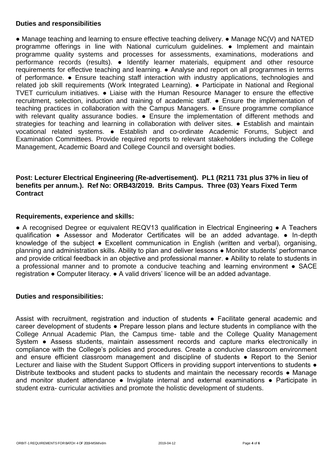#### **Duties and responsibilities**

● Manage teaching and learning to ensure effective teaching delivery. ● Manage NC(V) and NATED programme offerings in line with National curriculum guidelines. ● Implement and maintain programme quality systems and processes for assessments, examinations, moderations and performance records (results). ● Identify learner materials, equipment and other resource requirements for effective teaching and learning. ● Analyse and report on all programmes in terms of performance. ● Ensure teaching staff interaction with industry applications, technologies and related job skill requirements (Work Integrated Learning). ● Participate in National and Regional TVET curriculum initiatives. ● Liaise with the Human Resource Manager to ensure the effective recruitment, selection, induction and training of academic staff. ● Ensure the implementation of teaching practices in collaboration with the Campus Managers. ● Ensure programme compliance with relevant quality assurance bodies. • Ensure the implementation of different methods and strategies for teaching and learning in collaboration with deliver sites. • Establish and maintain vocational related systems. ● Establish and co-ordinate Academic Forums, Subject and Examination Committees. Provide required reports to relevant stakeholders including the College Management, Academic Board and College Council and oversight bodies.

## **Post: Lecturer Electrical Engineering (Re-advertisement). PL1 (R211 731 plus 37% in lieu of benefits per annum.). Ref No: ORB43/2019. Brits Campus. Three (03) Years Fixed Term Contract**

### **Requirements, experience and skills:**

**●** A recognised Degree or equivalent REQV13 qualification in Electrical Engineering ● A Teachers qualification ● Assessor and Moderator Certificates will be an added advantage. ● In-depth knowledge of the subject • Excellent communication in English (written and verbal), organising, planning and administration skills. Ability to plan and deliver lessons ● Monitor students' performance and provide critical feedback in an objective and professional manner. • Ability to relate to students in a professional manner and to promote a conducive teaching and learning environment ● SACE registration ● Computer literacy. ● A valid drivers' licence will be an added advantage.

### **Duties and responsibilities:**

Assist with recruitment, registration and induction of students ● Facilitate general academic and career development of students ● Prepare lesson plans and lecture students in compliance with the College Annual Academic Plan, the Campus time- table and the College Quality Management System • Assess students, maintain assessment records and capture marks electronically in compliance with the College's policies and procedures. Create a conducive classroom environment and ensure efficient classroom management and discipline of students • Report to the Senior Lecturer and liaise with the Student Support Officers in providing support interventions to students  $\bullet$ Distribute textbooks and student packs to students and maintain the necessary records ● Manage and monitor student attendance • Invigilate internal and external examinations • Participate in student extra- curricular activities and promote the holistic development of students.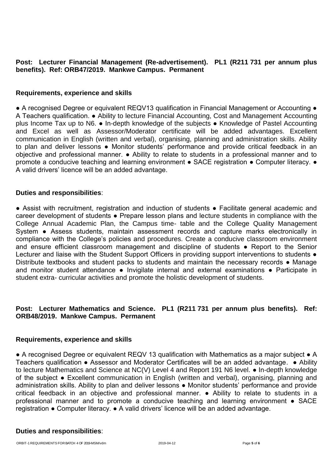#### **Post: Lecturer Financial Management (Re-advertisement). PL1 (R211 731 per annum plus benefits). Ref: ORB47/2019. Mankwe Campus. Permanent**

#### **Requirements, experience and skills**

● A recognised Degree or equivalent REQV13 qualification in Financial Management or Accounting ● A Teachers qualification. ● Ability to lecture Financial Accounting, Cost and Management Accounting plus Income Tax up to N6. ● In-depth knowledge of the subjects ● Knowledge of Pastel Accounting and Excel as well as Assessor/Moderator certificate will be added advantages. Excellent communication in English (written and verbal), organising, planning and administration skills. Ability to plan and deliver lessons • Monitor students' performance and provide critical feedback in an objective and professional manner. ● Ability to relate to students in a professional manner and to promote a conducive teaching and learning environment ● SACE registration ● Computer literacy. ● A valid drivers' licence will be an added advantage.

#### **Duties and responsibilities**:

● Assist with recruitment, registration and induction of students ● Facilitate general academic and career development of students ● Prepare lesson plans and lecture students in compliance with the College Annual Academic Plan, the Campus time- table and the College Quality Management System • Assess students, maintain assessment records and capture marks electronically in compliance with the College's policies and procedures. Create a conducive classroom environment and ensure efficient classroom management and discipline of students • Report to the Senior Lecturer and liaise with the Student Support Officers in providing support interventions to students  $\bullet$ Distribute textbooks and student packs to students and maintain the necessary records • Manage and monitor student attendance · Invigilate internal and external examinations · Participate in student extra- curricular activities and promote the holistic development of students.

### **Post: Lecturer Mathematics and Science. PL1 (R211 731 per annum plus benefits). Ref: ORB48/2019. Mankwe Campus. Permanent**

#### **Requirements, experience and skills**

● A recognised Degree or equivalent REQV 13 qualification with Mathematics as a major subject ● A Teachers qualification • Assessor and Moderator Certificates will be an added advantage. • Ability to lecture Mathematics and Science at NC(V) Level 4 and Report 191 N6 level. ● In-depth knowledge of the subject ● Excellent communication in English (written and verbal), organising, planning and administration skills. Ability to plan and deliver lessons ● Monitor students' performance and provide critical feedback in an objective and professional manner. ● Ability to relate to students in a professional manner and to promote a conducive teaching and learning environment ● SACE registration ● Computer literacy. ● A valid drivers' licence will be an added advantage.

#### **Duties and responsibilities**: